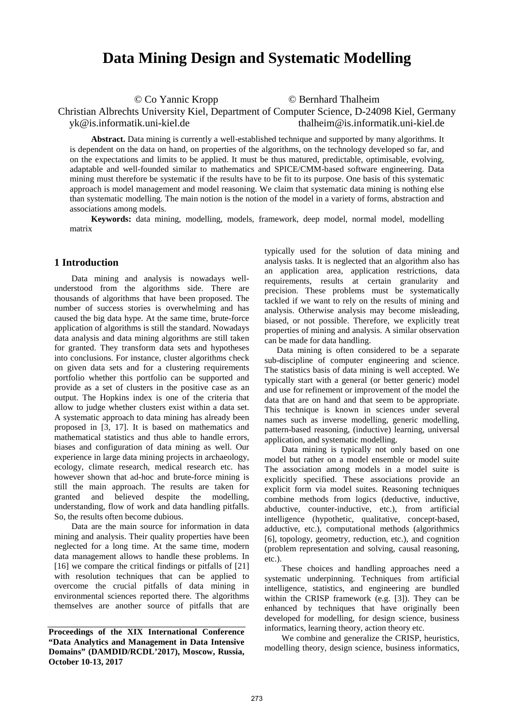# **Data Mining Design and Systematic Modelling**

# © Co Yannic Kropp © Bernhard Thalheim Christian Albrechts University Kiel, Department of Computer Science, D-24098 Kiel, Germany yk@is.informatik.uni-kiel.de thalheim@is.informatik.uni-kiel.de

**Abstract.** Data mining is currently a well-established technique and supported by many algorithms. It is dependent on the data on hand, on properties of the algorithms, on the technology developed so far, and on the expectations and limits to be applied. It must be thus matured, predictable, optimisable, evolving, adaptable and well-founded similar to mathematics and SPICE/CMM-based software engineering. Data mining must therefore be systematic if the results have to be fit to its purpose. One basis of this systematic approach is model management and model reasoning. We claim that systematic data mining is nothing else than systematic modelling. The main notion is the notion of the model in a variety of forms, abstraction and associations among models.

**Keywords:** data mining, modelling, models, framework, deep model, normal model, modelling matrix

## **1 Introduction**

Data mining and analysis is nowadays wellunderstood from the algorithms side. There are thousands of algorithms that have been proposed. The number of success stories is overwhelming and has caused the big data hype. At the same time, brute-force application of algorithms is still the standard. Nowadays data analysis and data mining algorithms are still taken for granted. They transform data sets and hypotheses into conclusions. For instance, cluster algorithms check on given data sets and for a clustering requirements portfolio whether this portfolio can be supported and provide as a set of clusters in the positive case as an output. The Hopkins index is one of the criteria that allow to judge whether clusters exist within a data set. A systematic approach to data mining has already been proposed in [3, 17]. It is based on mathematics and mathematical statistics and thus able to handle errors, biases and configuration of data mining as well. Our experience in large data mining projects in archaeology, ecology, climate research, medical research etc. has however shown that ad-hoc and brute-force mining is still the main approach. The results are taken for granted and believed despite the modelling, understanding, flow of work and data handling pitfalls. So, the results often become dubious.

Data are the main source for information in data mining and analysis. Their quality properties have been neglected for a long time. At the same time, modern data management allows to handle these problems. In [16] we compare the critical findings or pitfalls of [21] with resolution techniques that can be applied to overcome the crucial pitfalls of data mining in environmental sciences reported there. The algorithms themselves are another source of pitfalls that are

typically used for the solution of data mining and analysis tasks. It is neglected that an algorithm also has an application area, application restrictions, data requirements, results at certain granularity and precision. These problems must be systematically tackled if we want to rely on the results of mining and analysis. Otherwise analysis may become misleading, biased, or not possible. Therefore, we explicitly treat properties of mining and analysis. A similar observation can be made for data handling.

Data mining is often considered to be a separate sub-discipline of computer engineering and science. The statistics basis of data mining is well accepted. We typically start with a general (or better generic) model and use for refinement or improvement of the model the data that are on hand and that seem to be appropriate. This technique is known in sciences under several names such as inverse modelling, generic modelling, pattern-based reasoning, (inductive) learning, universal application, and systematic modelling.

Data mining is typically not only based on one model but rather on a model ensemble or model suite The association among models in a model suite is explicitly specified. These associations provide an explicit form via model suites. Reasoning techniques combine methods from logics (deductive, inductive, abductive, counter-inductive, etc.), from artificial intelligence (hypothetic, qualitative, concept-based, adductive, etc.), computational methods (algorithmics [6], topology, geometry, reduction, etc.), and cognition (problem representation and solving, causal reasoning, etc.).

These choices and handling approaches need a systematic underpinning. Techniques from artificial intelligence, statistics, and engineering are bundled within the CRISP framework (e.g. [3]). They can be enhanced by techniques that have originally been developed for modelling, for design science, business informatics, learning theory, action theory etc.

We combine and generalize the CRISP, heuristics, modelling theory, design science, business informatics,

**Proceedings of the XIX International Conference "Data Analytics and Management in Data Intensive Domains" (DAMDID/RCDL'2017), Moscow, Russia, October 10-13, 2017**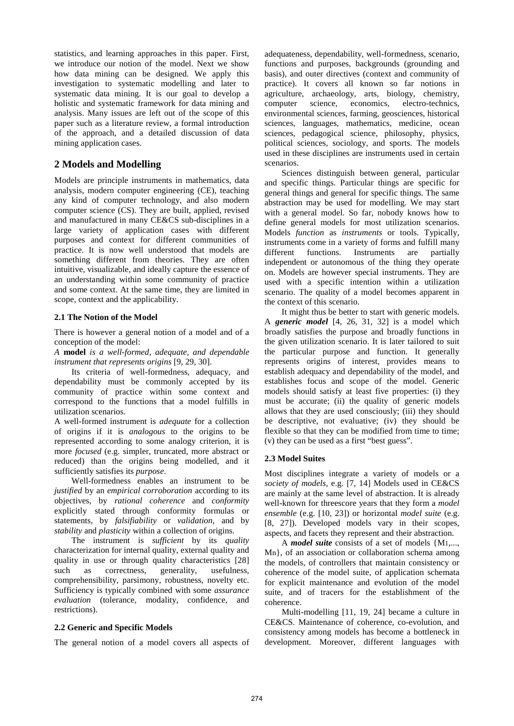statistics, and learning approaches in this paper. First, we introduce our notion of the model. Next we show how data mining can be designed. We apply this investigation to systematic modelling and later to systematic data mining. It is our goal to develop a holistic and systematic framework for data mining and analysis. Many issues are left out of the scope of this paper such as a literature review, a formal introduction of the approach, and a detailed discussion of data mining application cases.

# **2 Models and Modelling**

Models are principle instruments in mathematics, data analysis, modern computer engineering (CE), teaching any kind of computer technology, and also modern computer science (CS). They are built, applied, revised and manufactured in many CE&CS sub-disciplines in a large variety of application cases with different purposes and context for different communities of practice. It is now well understood that models are something different from theories. They are often intuitive, visualizable, and ideally capture the essence of an understanding within some community of practice and some context. At the same time, they are limited in scope, context and the applicability.

### **2.1 The Notion of the Model**

There is however a general notion of a model and of a conception of the model:

*A* **model** *is a well-formed, adequate, and dependable instrument that represents origins* [9, 29, 30].

Its criteria of well-formedness, adequacy, and dependability must be commonly accepted by its community of practice within some context and correspond to the functions that a model fulfills in utilization scenarios.

A well-formed instrument is *adequate* for a collection of origins if it is *analogous* to the origins to be represented according to some analogy criterion, it is more *focused* (e.g. simpler, truncated, more abstract or reduced) than the origins being modelled, and it sufficiently satisfies its *purpose*.

Well-formedness enables an instrument to be *justified* by an *empirical corroboration* according to its objectives, by *rational coherence* and *conformity* explicitly stated through conformity formulas or statements, by *falsifiability* or *validation*, and by *stability* and *plasticity* within a collection of origins.

The instrument is *sufficient* by its *quality* characterization for internal quality, external quality and quality in use or through quality characteristics [28] such as correctness, generality, usefulness, comprehensibility, parsimony, robustness, novelty etc. Sufficiency is typically combined with some *assurance evaluation* (tolerance, modality, confidence, and restrictions).

### **2.2 Generic and Specific Models**

The general notion of a model covers all aspects of

adequateness, dependability, well-formedness, scenario, functions and purposes, backgrounds (grounding and basis), and outer directives (context and community of practice). It covers all known so far notions in agriculture, archaeology, arts, biology, chemistry, computer science, economics, electro-technics, environmental sciences, farming, geosciences, historical sciences, languages, mathematics, medicine, ocean sciences, pedagogical science, philosophy, physics, political sciences, sociology, and sports. The models used in these disciplines are instruments used in certain scenarios.

Sciences distinguish between general, particular and specific things. Particular things are specific for general things and general for specific things. The same abstraction may be used for modelling. We may start with a general model. So far, nobody knows how to define general models for most utilization scenarios. Models *function* as *instruments* or tools. Typically, instruments come in a variety of forms and fulfill many different functions. Instruments are partially independent or autonomous of the thing they operate on. Models are however special instruments. They are used with a specific intention within a utilization scenario. The quality of a model becomes apparent in the context of this scenario.

It might thus be better to start with generic models. A *generic model* [4, 26, 31, 32] is a model which broadly satisfies the purpose and broadly functions in the given utilization scenario. It is later tailored to suit the particular purpose and function. It generally represents origins of interest, provides means to establish adequacy and dependability of the model, and establishes focus and scope of the model. Generic models should satisfy at least five properties: (i) they must be accurate; (ii) the quality of generic models allows that they are used consciously; (iii) they should be descriptive, not evaluative; (iv) they should be flexible so that they can be modified from time to time; (v) they can be used as a first "best guess".

### **2.3 Model Suites**

Most disciplines integrate a variety of models or a *society of models*, e.g. [7, 14] Models used in CE&CS are mainly at the same level of abstraction. It is already well-known for threescore years that they form a *model ensemble* (e.g. [10, 23]) or horizontal *model suite* (e.g. [8, 27]). Developed models vary in their scopes, aspects, and facets they represent and their abstraction.

A *model suite* consists of a set of models {M1,..., Mn}, of an association or collaboration schema among the models, of controllers that maintain consistency or coherence of the model suite, of application schemata for explicit maintenance and evolution of the model suite, and of tracers for the establishment of the coherence.

Multi-modelling [11, 19, 24] became a culture in CE&CS. Maintenance of coherence, co-evolution, and consistency among models has become a bottleneck in development. Moreover, different languages with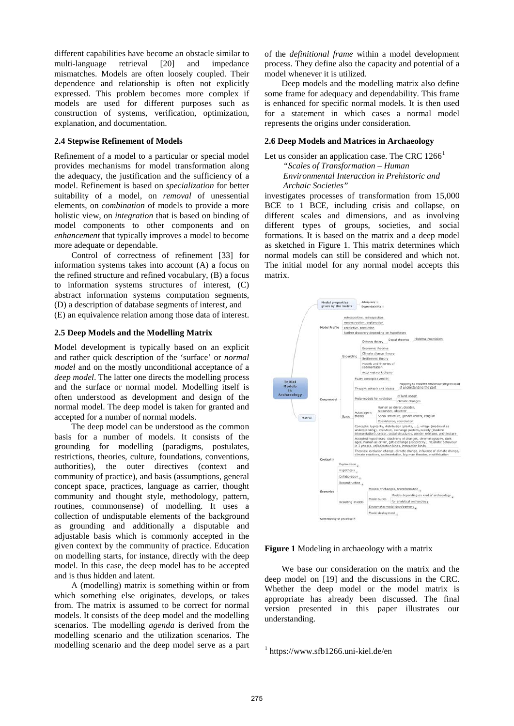different capabilities have become an obstacle similar to multi-language retrieval [20] and impedance mismatches. Models are often loosely coupled. Their dependence and relationship is often not explicitly expressed. This problem becomes more complex if models are used for different purposes such as construction of systems, verification, optimization, explanation, and documentation.

#### **2.4 Stepwise Refinement of Models**

Refinement of a model to a particular or special model provides mechanisms for model transformation along the adequacy, the justification and the sufficiency of a model. Refinement is based on *specialization* for better suitability of a model, on *removal* of unessential elements, on *combination* of models to provide a more holistic view, on *integration* that is based on binding of model components to other components and on *enhancement* that typically improves a model to become more adequate or dependable.

Control of correctness of refinement [33] for information systems takes into account (A) a focus on the refined structure and refined vocabulary, (B) a focus to information systems structures of interest, (C) abstract information systems computation segments, (D) a description of database segments of interest, and (E) an equivalence relation among those data of interest.

#### **2.5 Deep Models and the Modelling Matrix**

Model development is typically based on an explicit and rather quick description of the 'surface' or *normal model* and on the mostly unconditional acceptance of a *deep model*. The latter one directs the modelling process and the surface or normal model. Modelling itself is often understood as development and design of the normal model. The deep model is taken for granted and accepted for a number of normal models.

The deep model can be understood as the common basis for a number of models. It consists of the grounding for modelling (paradigms, postulates, restrictions, theories, culture, foundations, conventions, authorities), the outer directives (context and community of practice), and basis (assumptions, general concept space, practices, language as carrier, thought community and thought style, methodology, pattern, routines, commonsense) of modelling. It uses a collection of undisputable elements of the background as grounding and additionally a disputable and adjustable basis which is commonly accepted in the given context by the community of practice. Education on modelling starts, for instance, directly with the deep model. In this case, the deep model has to be accepted and is thus hidden and latent.

<span id="page-2-0"></span>A (modelling) matrix is something within or from which something else originates, develops, or takes from. The matrix is assumed to be correct for normal models. It consists of the deep model and the modelling scenarios. The modelling *agenda* is derived from the modelling scenario and the utilization scenarios. The modelling scenario and the deep model serve as a part of the *definitional frame* within a model development process. They define also the capacity and potential of a model whenever it is utilized.

Deep models and the modelling matrix also define some frame for adequacy and dependability. This frame is enhanced for specific normal models. It is then used for a statement in which cases a normal model represents the origins under consideration.

#### **2.6 Deep Models and Matrices in Archaeology**

Let us consider an application case. The CRC  $1266<sup>1</sup>$  $1266<sup>1</sup>$ *"Scales of Transformation – Human* 

*Environmental Interaction in Prehistoric and Archaic Societies"*

investigates processes of transformation from 15,000 BCE to 1 BCE, including crisis and collapse, on different scales and dimensions, and as involving different types of groups, societies, and social formations. It is based on the matrix and a deep model as sketched in Figure 1. This matrix determines which normal models can still be considered and which not. The initial model for any normal model accepts this matrix.



**Figure 1** Modeling in archaeology with a matrix

We base our consideration on the matrix and the deep model on [19] and the discussions in the CRC. Whether the deep model or the model matrix is appropriate has already been discussed. The final version presented in this paper illustrates our understanding.

 $1$  https://www.sfb1266.uni-kiel.de/en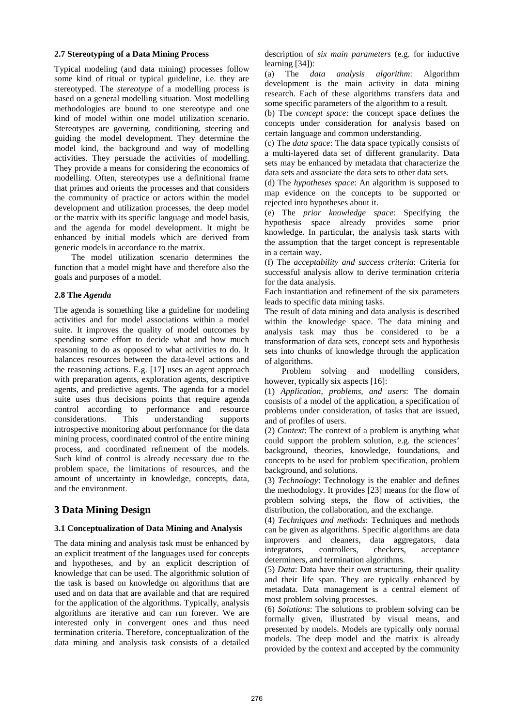#### **2.7 Stereotyping of a Data Mining Process**

Typical modeling (and data mining) processes follow some kind of ritual or typical guideline, i.e. they are stereotyped. The *stereotype* of a modelling process is based on a general modelling situation. Most modelling methodologies are bound to one stereotype and one kind of model within one model utilization scenario. Stereotypes are governing, conditioning, steering and guiding the model development. They determine the model kind, the background and way of modelling activities. They persuade the activities of modelling. They provide a means for considering the economics of modelling. Often, stereotypes use a definitional frame that primes and orients the processes and that considers the community of practice or actors within the model development and utilization processes, the deep model or the matrix with its specific language and model basis, and the agenda for model development. It might be enhanced by initial models which are derived from generic models in accordance to the matrix.

The model utilization scenario determines the function that a model might have and therefore also the goals and purposes of a model.

#### **2.8 The** *Agenda*

The agenda is something like a guideline for modeling activities and for model associations within a model suite. It improves the quality of model outcomes by spending some effort to decide what and how much reasoning to do as opposed to what activities to do. It balances resources between the data-level actions and the reasoning actions. E.g. [17] uses an agent approach with preparation agents, exploration agents, descriptive agents, and predictive agents. The agenda for a model suite uses thus decisions points that require agenda control according to performance and resource considerations. This understanding supports introspective monitoring about performance for the data mining process, coordinated control of the entire mining process, and coordinated refinement of the models. Such kind of control is already necessary due to the problem space, the limitations of resources, and the amount of uncertainty in knowledge, concepts, data, and the environment.

# **3 Data Mining Design**

#### **3.1 Conceptualization of Data Mining and Analysis**

The data mining and analysis task must be enhanced by an explicit treatment of the languages used for concepts and hypotheses, and by an explicit description of knowledge that can be used. The algorithmic solution of the task is based on knowledge on algorithms that are used and on data that are available and that are required for the application of the algorithms. Typically, analysis algorithms are iterative and can run forever. We are interested only in convergent ones and thus need termination criteria. Therefore, conceptualization of the data mining and analysis task consists of a detailed description of *six main parameters* (e.g. for inductive learning [34]):

(a) The *data analysis algorithm*: Algorithm development is the main activity in data mining research. Each of these algorithms transfers data and some specific parameters of the algorithm to a result.

(b) The *concept space*: the concept space defines the concepts under consideration for analysis based on certain language and common understanding.

(c) The *data space*: The data space typically consists of a multi-layered data set of different granularity. Data sets may be enhanced by metadata that characterize the data sets and associate the data sets to other data sets.

(d) The *hypotheses space*: An algorithm is supposed to map evidence on the concepts to be supported or rejected into hypotheses about it.

(e) The *prior knowledge space*: Specifying the hypothesis space already provides some prior knowledge. In particular, the analysis task starts with the assumption that the target concept is representable in a certain way.

(f) The *acceptability and success criteria*: Criteria for successful analysis allow to derive termination criteria for the data analysis.

Each instantiation and refinement of the six parameters leads to specific data mining tasks.

The result of data mining and data analysis is described within the knowledge space. The data mining and analysis task may thus be considered to be a transformation of data sets, concept sets and hypothesis sets into chunks of knowledge through the application of algorithms.

Problem solving and modelling considers, however, typically six aspects [16]:

(1) *Application, problems, and users*: The domain consists of a model of the application, a specification of problems under consideration, of tasks that are issued, and of profiles of users.

(2) *Context*: The context of a problem is anything what could support the problem solution, e.g. the sciences' background, theories, knowledge, foundations, and concepts to be used for problem specification, problem background, and solutions.

(3) *Technology*: Technology is the enabler and defines the methodology. It provides [23] means for the flow of problem solving steps, the flow of activities, the distribution, the collaboration, and the exchange.

(4) *Techniques and methods*: Techniques and methods can be given as algorithms. Specific algorithms are data improvers and cleaners, data aggregators, data integrators, controllers, checkers, acceptance determiners, and termination algorithms.

(5) *Data*: Data have their own structuring, their quality and their life span. They are typically enhanced by metadata. Data management is a central element of most problem solving processes.

(6) *Solutions*: The solutions to problem solving can be formally given, illustrated by visual means, and presented by models. Models are typically only normal models. The deep model and the matrix is already provided by the context and accepted by the community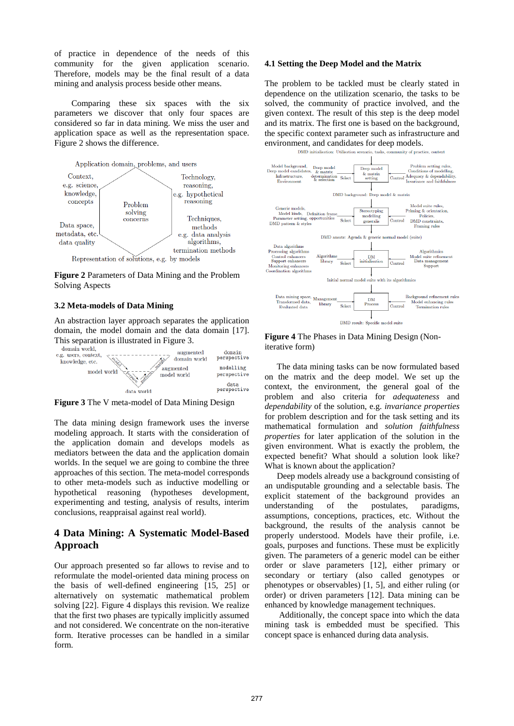of practice in dependence of the needs of this community for the given application scenario. Therefore, models may be the final result of a data mining and analysis process beside other means.

Comparing these six spaces with the six parameters we discover that only four spaces are considered so far in data mining. We miss the user and application space as well as the representation space. Figure 2 shows the difference.



**Figure 2** Parameters of Data Mining and the Problem Solving Aspects

#### **3.2 Meta-models of Data Mining**

An abstraction layer approach separates the application domain, the model domain and the data domain [17]. This separation is illustrated in Figure 3.



**Figure 3** The V meta-model of Data Mining Design

The data mining design framework uses the inverse modeling approach. It starts with the consideration of the application domain and develops models as mediators between the data and the application domain worlds. In the sequel we are going to combine the three approaches of this section. The meta-model corresponds to other meta-models such as inductive modelling or hypothetical reasoning (hypotheses development, experimenting and testing, analysis of results, interim conclusions, reappraisal against real world).

## **4 Data Mining: A Systematic Model-Based Approach**

Our approach presented so far allows to revise and to reformulate the model-oriented data mining process on the basis of well-defined engineering [15, 25] or alternatively on systematic mathematical problem solving [22]. Figure 4 displays this revision. We realize that the first two phases are typically implicitly assumed and not considered. We concentrate on the non-iterative form. Iterative processes can be handled in a similar form.

#### **4.1 Setting the Deep Model and the Matrix**

The problem to be tackled must be clearly stated in dependence on the utilization scenario, the tasks to be solved, the community of practice involved, and the given context. The result of this step is the deep model and its matrix. The first one is based on the background, the specific context parameter such as infrastructure and environment, and candidates for deep models.



#### **Figure 4** The Phases in Data Mining Design (Noniterative form)

The data mining tasks can be now formulated based on the matrix and the deep model. We set up the context, the environment, the general goal of the problem and also criteria for *adequateness* and *dependability* of the solution, e.g. *invariance properties* for problem description and for the task setting and its mathematical formulation and *solution faithfulness properties* for later application of the solution in the given environment. What is exactly the problem, the expected benefit? What should a solution look like? What is known about the application?

Deep models already use a background consisting of an undisputable grounding and a selectable basis. The explicit statement of the background provides an understanding of the postulates, paradigms, assumptions, conceptions, practices, etc. Without the background, the results of the analysis cannot be properly understood. Models have their profile, i.e. goals, purposes and functions. These must be explicitly given. The parameters of a generic model can be either order or slave parameters [12], either primary or secondary or tertiary (also called genotypes or phenotypes or observables) [1, 5], and either ruling (or order) or driven parameters [12]. Data mining can be enhanced by knowledge management techniques.

Additionally, the concept space into which the data mining task is embedded must be specified. This concept space is enhanced during data analysis.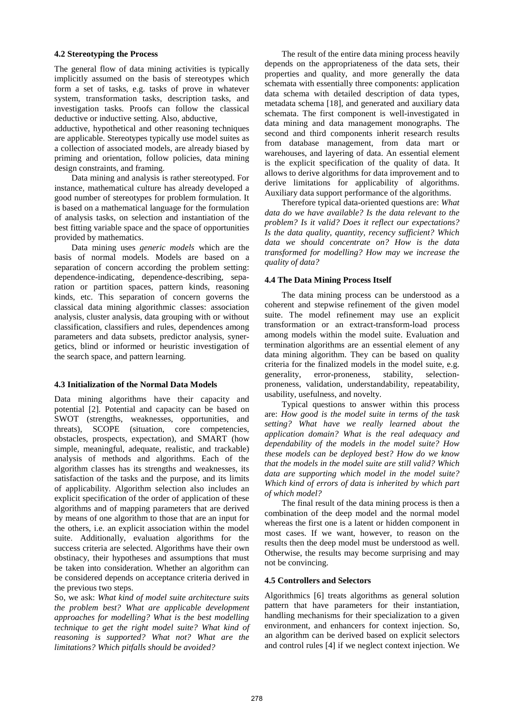#### **4.2 Stereotyping the Process**

The general flow of data mining activities is typically implicitly assumed on the basis of stereotypes which form a set of tasks, e.g. tasks of prove in whatever system, transformation tasks, description tasks, and investigation tasks. Proofs can follow the classical deductive or inductive setting. Also, abductive,

adductive, hypothetical and other reasoning techniques are applicable. Stereotypes typically use model suites as a collection of associated models, are already biased by priming and orientation, follow policies, data mining design constraints, and framing.

Data mining and analysis is rather stereotyped. For instance, mathematical culture has already developed a good number of stereotypes for problem formulation. It is based on a mathematical language for the formulation of analysis tasks, on selection and instantiation of the best fitting variable space and the space of opportunities provided by mathematics.

Data mining uses *generic models* which are the basis of normal models. Models are based on a separation of concern according the problem setting: dependence-indicating, dependence-describing, separation or partition spaces, pattern kinds, reasoning kinds, etc. This separation of concern governs the classical data mining algorithmic classes: association analysis, cluster analysis, data grouping with or without classification, classifiers and rules, dependences among parameters and data subsets, predictor analysis, synergetics, blind or informed or heuristic investigation of the search space, and pattern learning.

#### **4.3 Initialization of the Normal Data Models**

Data mining algorithms have their capacity and potential [2]. Potential and capacity can be based on SWOT (strengths, weaknesses, opportunities, and threats), SCOPE (situation, core competencies, obstacles, prospects, expectation), and SMART (how simple, meaningful, adequate, realistic, and trackable) analysis of methods and algorithms. Each of the algorithm classes has its strengths and weaknesses, its satisfaction of the tasks and the purpose, and its limits of applicability. Algorithm selection also includes an explicit specification of the order of application of these algorithms and of mapping parameters that are derived by means of one algorithm to those that are an input for the others, i.e. an explicit association within the model suite. Additionally, evaluation algorithms for the success criteria are selected. Algorithms have their own obstinacy, their hypotheses and assumptions that must be taken into consideration. Whether an algorithm can be considered depends on acceptance criteria derived in the previous two steps.

So, we ask: *What kind of model suite architecture suits the problem best? What are applicable development approaches for modelling? What is the best modelling technique to get the right model suite? What kind of reasoning is supported? What not? What are the limitations? Which pitfalls should be avoided?*

The result of the entire data mining process heavily depends on the appropriateness of the data sets, their properties and quality, and more generally the data schemata with essentially three components: application data schema with detailed description of data types, metadata schema [18], and generated and auxiliary data schemata. The first component is well-investigated in data mining and data management monographs. The second and third components inherit research results from database management, from data mart or warehouses, and layering of data. An essential element is the explicit specification of the quality of data. It allows to derive algorithms for data improvement and to derive limitations for applicability of algorithms. Auxiliary data support performance of the algorithms.

Therefore typical data-oriented questions are: *What data do we have available? Is the data relevant to the problem? Is it valid? Does it reflect our expectations? Is the data quality, quantity, recency sufficient? Which data we should concentrate on? How is the data transformed for modelling? How may we increase the quality of data?*

### **4.4 The Data Mining Process Itself**

The data mining process can be understood as a coherent and stepwise refinement of the given model suite. The model refinement may use an explicit transformation or an extract-transform-load process among models within the model suite. Evaluation and termination algorithms are an essential element of any data mining algorithm. They can be based on quality criteria for the finalized models in the model suite, e.g. generality, error-proneness, stability, selectionproneness, validation, understandability, repeatability, usability, usefulness, and novelty.

Typical questions to answer within this process are: *How good is the model suite in terms of the task setting? What have we really learned about the application domain? What is the real adequacy and dependability of the models in the model suite? How these models can be deployed best? How do we know that the models in the model suite are still valid? Which data are supporting which model in the model suite? Which kind of errors of data is inherited by which part of which model?* 

The final result of the data mining process is then a combination of the deep model and the normal model whereas the first one is a latent or hidden component in most cases. If we want, however, to reason on the results then the deep model must be understood as well. Otherwise, the results may become surprising and may not be convincing.

#### **4.5 Controllers and Selectors**

Algorithmics [6] treats algorithms as general solution pattern that have parameters for their instantiation, handling mechanisms for their specialization to a given environment, and enhancers for context injection. So, an algorithm can be derived based on explicit selectors and control rules [4] if we neglect context injection. We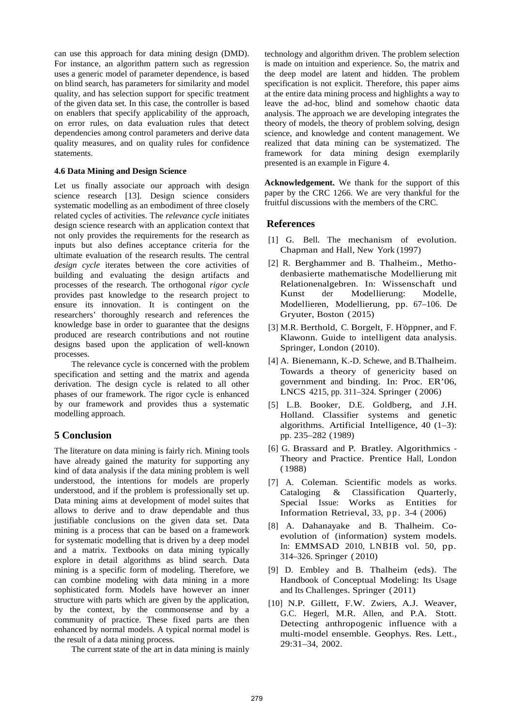can use this approach for data mining design (DMD). For instance, an algorithm pattern such as regression uses a generic model of parameter dependence, is based on blind search, has parameters for similarity and model quality, and has selection support for specific treatment of the given data set. In this case, the controller is based on enablers that specify applicability of the approach, on error rules, on data evaluation rules that detect dependencies among control parameters and derive data quality measures, and on quality rules for confidence statements.

#### **4.6 Data Mining and Design Science**

Let us finally associate our approach with design science research [13]. Design science considers systematic modelling as an embodiment of three closely related cycles of activities. The *relevance cycle* initiates design science research with an application context that not only provides the requirements for the research as inputs but also defines acceptance criteria for the ultimate evaluation of the research results. The central *design cycle* iterates between the core activities of building and evaluating the design artifacts and processes of the research. The orthogonal *rigor cycle* provides past knowledge to the research project to ensure its innovation. It is contingent on the researchers' thoroughly research and references the knowledge base in order to guarantee that the designs produced are research contributions and not routine designs based upon the application of well-known processes.

The relevance cycle is concerned with the problem specification and setting and the matrix and agenda derivation. The design cycle is related to all other phases of our framework. The rigor cycle is enhanced by our framework and provides thus a systematic modelling approach.

# **5 Conclusion**

The literature on data mining is fairly rich. Mining tools have already gained the maturity for supporting any kind of data analysis if the data mining problem is well understood, the intentions for models are properly understood, and if the problem is professionally set up. Data mining aims at development of model suites that allows to derive and to draw dependable and thus justifiable conclusions on the given data set. Data mining is a process that can be based on a framework for systematic modelling that is driven by a deep model and a matrix. Textbooks on data mining typically explore in detail algorithms as blind search. Data mining is a specific form of modeling. Therefore, we can combine modeling with data mining in a more sophisticated form. Models have however an inner structure with parts which are given by the application, by the context, by the commonsense and by a community of practice. These fixed parts are then enhanced by normal models. A typical normal model is the result of a data mining process.

The current state of the art in data mining is mainly

technology and algorithm driven. The problem selection is made on intuition and experience. So, the matrix and the deep model are latent and hidden. The problem specification is not explicit. Therefore, this paper aims at the entire data mining process and highlights a way to leave the ad-hoc, blind and somehow chaotic data analysis. The approach we are developing integrates the theory of models, the theory of problem solving, design science, and knowledge and content management. We realized that data mining can be systematized. The framework for data mining design exemplarily presented is an example in Figure 4.

**Acknowledgement.** We thank for the support of this paper by the CRC 1266. We are very thankful for the fruitful discussions with the members of the CRC.

# **References**

- [1] G. Bell. The mechanism of evolution. Chapman and Hall, New York (1997)
- [2] R. Berghammer and B. Thalheim., Methodenbasierte mathematische Modellierung mit Relationenalgebren. In: Wissenschaft und Kunst der Modellierung: Modelle, Modellieren, Modellierung, pp. 67–106. De Gryuter, Boston ( 2015)
- [3] M.R. Berthold, C. Borgelt, F. Höppner, and F. Klawonn. Guide to intelligent data analysis. Springer, London (2010).
- [4] A. Bienemann, K.-D. Schewe, and B.Thalheim. Towards a theory of genericity based on government and binding. In: Proc. ER'06, LNCS 4215, pp. 311–324. Springer ( 2006)
- [5] L.B. Booker, D.E. Goldberg, and J.H. Holland. Classifier systems and genetic algorithms. Artificial Intelligence, 40 (1–3): pp. 235–282 (1989)
- [6] G. Brassard and P. Bratley. Algorithmics Theory and Practice. Prentice Hall, London ( 1988)
- [7] A. Coleman. Scientific models as works. Cataloging & Classification Quarterly, Special Issue: Works as Entities for Information Retrieval, 33, pp. 3-4 ( 2006)
- [8] A. Dahanayake and B. Thalheim. Coevolution of (information) system models. In: EMMSAD 2010, LNBIB vol. 50, pp. 314–326. Springer ( 2010)
- [9] D. Embley and B. Thalheim (eds). The Handbook of Conceptual Modeling: Its Usage and Its Challenges. Springer ( 2011)
- [10] N.P. Gillett, F.W. Zwiers, A.J. Weaver, G.C. Hegerl, M.R. Allen, and P.A. Stott. Detecting anthropogenic influence with a multi-model ensemble. Geophys. Res. Lett., 29:31–34, 2002.